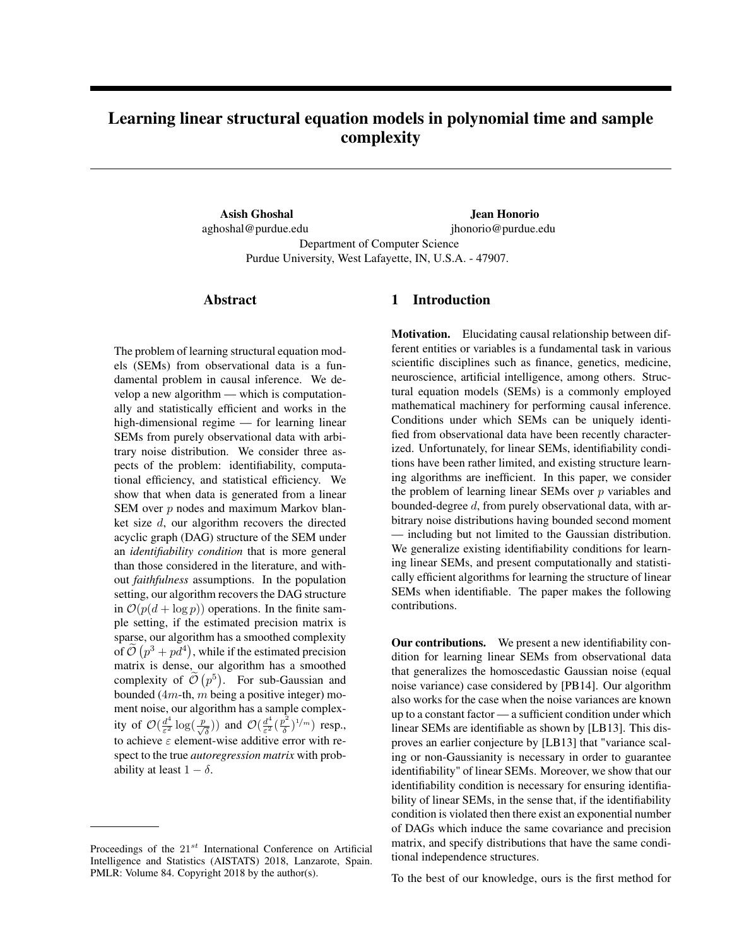# <span id="page-0-4"></span><span id="page-0-0"></span>Learning linear structural equation models in polynomial time and sample complexity

<span id="page-0-1"></span>Asish Ghoshal aghoshal@purdue.edu

Jean Honorio jhonorio@purdue.edu Department of Computer Science

Purdue University, West Lafayette, IN, U.S.A. - 47907.

### Abstract

<span id="page-0-5"></span><span id="page-0-2"></span>The problem of learning structural equation models (SEMs) from observational data is a fundamental problem in causal inference. We develop a new algorithm — which is computationally and statistically efficient and works in the high-dimensional regime — for learning linear SEMs from purely observational data with arbitrary noise distribution. We consider three aspects of the problem: identifiability, computational efficiency, and statistical efficiency. We show that when data is generated from a linear SEM over *p* nodes and maximum Markov blanket size *d*, our algorithm recovers the directed acyclic graph (DAG) structure of the SEM under an *identifiability condition* that is more general than those considered in the literature, and without *faithfulness* assumptions. In the population setting, our algorithm recovers the DAG structure in  $\mathcal{O}(p(d + \log p))$  operations. In the finite sample setting, if the estimated precision matrix is sparse, our algorithm has a smoothed complexity of  $\tilde{\mathcal{O}}(p^3 + pd^4)$ , while if the estimated precision matrix is dense, our algorithm has a smoothed complexity of  $\tilde{\mathcal{O}}(p^5)$ . For sub-Gaussian and bounded (4*m*-th, *m* being a positive integer) moment noise, our algorithm has a sample complexity of  $\mathcal{O}(\frac{d^4}{\varepsilon^2} \log(\frac{p}{\sqrt{\delta}}))$  and  $\mathcal{O}(\frac{d^4}{\varepsilon^2} (\frac{p^2}{\delta})^{1/m})$  resp., to achieve  $\varepsilon$  element-wise additive error with respect to the true *autoregression matrix* with probability at least  $1 - \delta$ .

## 1 Introduction

Motivation. Elucidating causal relationship between different entities or variables is a fundamental task in various scientific disciplines such as finance, genetics, medicine, neuroscience, artificial intelligence, among others. Structural equation models (SEMs) is a commonly employed mathematical machinery for performing causal inference. Conditions under which SEMs can be uniquely identified from observational data have been recently characterized. Unfortunately, for linear SEMs, identifiability conditions have been rather limited, and existing structure learning algorithms are inefficient. In this paper, we consider the problem of learning linear SEMs over *p* variables and bounded-degree *d*, from purely observational data, with arbitrary noise distributions having bounded second moment — including but not limited to the Gaussian distribution. We generalize existing identifiability conditions for learning linear SEMs, and present computationally and statistically efficient algorithms for learning the structure of linear SEMs when identifiable. The paper makes the following contributions.

Our contributions. We present a new identifiability condition for learning linear SEMs from observational data that generalizes the homoscedastic Gaussian noise (equal noise variance) case considered by [\[PB14\]](#page-8-0). Our algorithm also works for the case when the noise variances are known up to a constant factor — a sufficient condition under which linear SEMs are identifiable as shown by [\[LB13\]](#page-8-1). This disproves an earlier conjecture by [\[LB13\]](#page-8-1) that "variance scaling or non-Gaussianity is necessary in order to guarantee identifiability" of linear SEMs. Moreover, we show that our identifiability condition is necessary for ensuring identifiability of linear SEMs, in the sense that, if the identifiability condition is violated then there exist an exponential number of DAGs which induce the same covariance and precision matrix, and specify distributions that have the same conditional independence structures.

To the best of our knowledge, ours is the first method for

<span id="page-0-3"></span>Proceedings of the 21*st* International Conference on Artificial Intelligence and Statistics (AISTATS) 2018, Lanzarote, Spain. PMLR: Volume 84. Copyright 2018 by the author(s).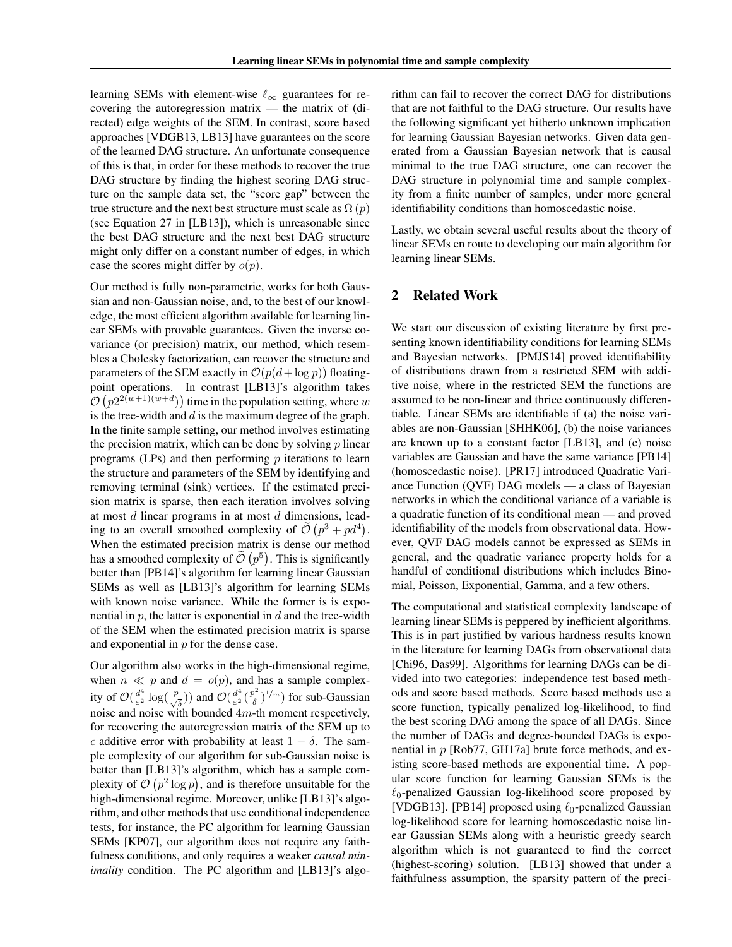learning SEMs with element-wise  $\ell_{\infty}$  guarantees for recovering the autoregression matrix — the matrix of (directed) edge weights of the SEM. In contrast, score based approaches [\[VDGB13,](#page-9-0) [LB13\]](#page-8-1) have guarantees on the score of the learned DAG structure. An unfortunate consequence of this is that, in order for these methods to recover the true DAG structure by finding the highest scoring DAG structure on the sample data set, the "score gap" between the true structure and the next best structure must scale as  $\Omega(p)$ (see Equation 27 in [\[LB13\]](#page-8-1)), which is unreasonable since the best DAG structure and the next best DAG structure might only differ on a constant number of edges, in which case the scores might differ by *o*(*p*).

Our method is fully non-parametric, works for both Gaussian and non-Gaussian noise, and, to the best of our knowledge, the most efficient algorithm available for learning linear SEMs with provable guarantees. Given the inverse covariance (or precision) matrix, our method, which resembles a Cholesky factorization, can recover the structure and parameters of the SEM exactly in  $\mathcal{O}(p(d + \log p))$  floatingpoint operations. In contrast [\[LB13\]](#page-8-1)'s algorithm takes  $\mathcal{O}\left(p2^{2(w+1)(w+d)}\right)$  time in the population setting, where  $w$ is the tree-width and *d* is the maximum degree of the graph. In the finite sample setting, our method involves estimating the precision matrix, which can be done by solving *p* linear programs (LPs) and then performing *p* iterations to learn the structure and parameters of the SEM by identifying and removing terminal (sink) vertices. If the estimated precision matrix is sparse, then each iteration involves solving at most *d* linear programs in at most *d* dimensions, leading to an overall smoothed complexity of  $\tilde{\mathcal{O}}(p^3 + pd^4)$ . When the estimated precision matrix is dense our method has a smoothed complexity of  $\tilde{\mathcal{O}}(p^5)$ . This is significantly better than [\[PB14\]](#page-8-0)'s algorithm for learning linear Gaussian SEMs as well as [\[LB13\]](#page-8-1)'s algorithm for learning SEMs with known noise variance. While the former is is exponential in *p*, the latter is exponential in *d* and the tree-width of the SEM when the estimated precision matrix is sparse and exponential in *p* for the dense case.

Our algorithm also works in the high-dimensional regime, when  $n \ll p$  and  $d = o(p)$ , and has a sample complexity of  $\mathcal{O}(\frac{d^4}{\varepsilon^2} \log(\frac{p}{\sqrt{\delta}}))$  and  $\mathcal{O}(\frac{d^4}{\varepsilon^2} (\frac{p^2}{\delta})^{1/m})$  for sub-Gaussian noise and noise with bounded 4*m*-th moment respectively, for recovering the autoregression matrix of the SEM up to  $\epsilon$  additive error with probability at least  $1 - \delta$ . The sample complexity of our algorithm for sub-Gaussian noise is better than [\[LB13\]](#page-8-1)'s algorithm, which has a sample complexity of  $\mathcal{O}(p^2 \log p)$ , and is therefore unsuitable for the high-dimensional regime. Moreover, unlike [\[LB13\]](#page-8-1)'s algorithm, and other methods that use conditional independence tests, for instance, the PC algorithm for learning Gaussian SEMs [\[KP07\]](#page-8-2), our algorithm does not require any faithfulness conditions, and only requires a weaker *causal minimality* condition. The PC algorithm and [\[LB13\]](#page-8-1)'s algo-

rithm can fail to recover the correct DAG for distributions that are not faithful to the DAG structure. Our results have the following significant yet hitherto unknown implication for learning Gaussian Bayesian networks. Given data generated from a Gaussian Bayesian network that is causal minimal to the true DAG structure, one can recover the DAG structure in polynomial time and sample complexity from a finite number of samples, under more general identifiability conditions than homoscedastic noise.

Lastly, we obtain several useful results about the theory of linear SEMs en route to developing our main algorithm for learning linear SEMs.

## 2 Related Work

We start our discussion of existing literature by first presenting known identifiability conditions for learning SEMs and Bayesian networks. [\[PMJS14\]](#page-8-3) proved identifiability of distributions drawn from a restricted SEM with additive noise, where in the restricted SEM the functions are assumed to be non-linear and thrice continuously differentiable. Linear SEMs are identifiable if (a) the noise variables are non-Gaussian [\[SHHK06\]](#page-9-1), (b) the noise variances are known up to a constant factor [\[LB13\]](#page-8-1), and (c) noise variables are Gaussian and have the same variance [\[PB14\]](#page-8-0) (homoscedastic noise). [\[PR17\]](#page-8-4) introduced Quadratic Variance Function (QVF) DAG models — a class of Bayesian networks in which the conditional variance of a variable is a quadratic function of its conditional mean — and proved identifiability of the models from observational data. However, QVF DAG models cannot be expressed as SEMs in general, and the quadratic variance property holds for a handful of conditional distributions which includes Binomial, Poisson, Exponential, Gamma, and a few others.

The computational and statistical complexity landscape of learning linear SEMs is peppered by inefficient algorithms. This is in part justified by various hardness results known in the literature for learning DAGs from observational data [\[Chi96,](#page-8-5) [Das99\]](#page-8-6). Algorithms for learning DAGs can be divided into two categories: independence test based methods and score based methods. Score based methods use a score function, typically penalized log-likelihood, to find the best scoring DAG among the space of all DAGs. Since the number of DAGs and degree-bounded DAGs is exponential in *p* [\[Rob77,](#page-8-7) [GH17a\]](#page-8-8) brute force methods, and existing score-based methods are exponential time. A popular score function for learning Gaussian SEMs is the  $\ell_0$ -penalized Gaussian log-likelihood score proposed by [\[VDGB13\]](#page-9-0). [\[PB14\]](#page-8-0) proposed using  $\ell_0$ -penalized Gaussian log-likelihood score for learning homoscedastic noise linear Gaussian SEMs along with a heuristic greedy search algorithm which is not guaranteed to find the correct (highest-scoring) solution. [\[LB13\]](#page-8-1) showed that under a faithfulness assumption, the sparsity pattern of the preci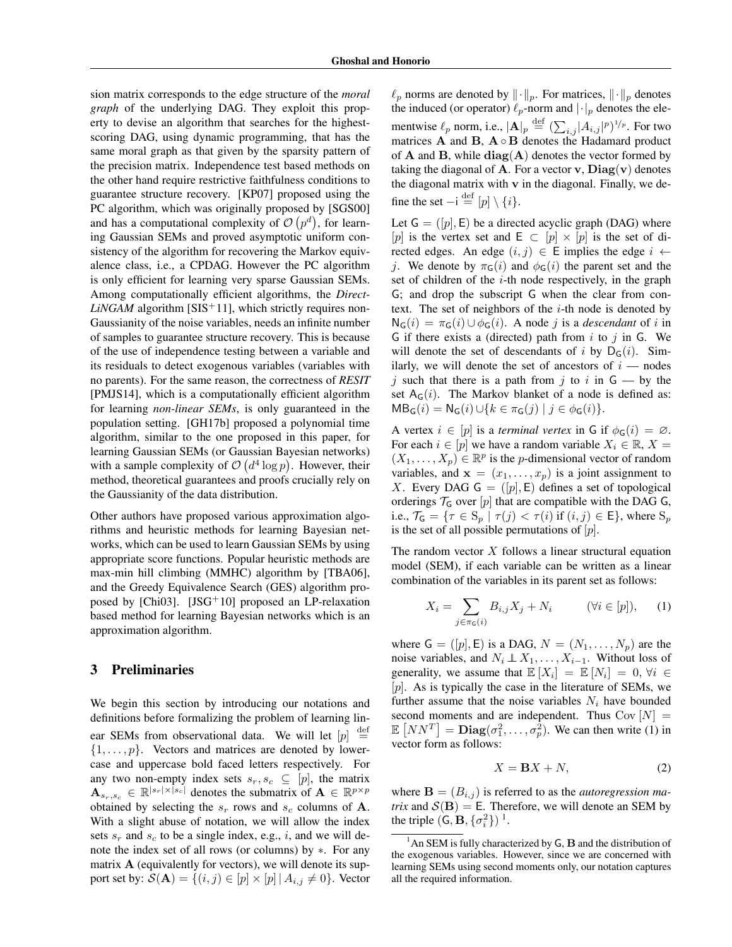sion matrix corresponds to the edge structure of the *moral graph* of the underlying DAG. They exploit this property to devise an algorithm that searches for the highestscoring DAG, using dynamic programming, that has the same moral graph as that given by the sparsity pattern of the precision matrix. Independence test based methods on the other hand require restrictive faithfulness conditions to guarantee structure recovery. [\[KP07\]](#page-8-2) proposed using the PC algorithm, which was originally proposed by [\[SGS00\]](#page-9-2) and has a computational complexity of  $\mathcal{O}(p^d)$ , for learning Gaussian SEMs and proved asymptotic uniform consistency of the algorithm for recovering the Markov equivalence class, i.e., a CPDAG. However the PC algorithm is only efficient for learning very sparse Gaussian SEMs. Among computationally efficient algorithms, the *Direct-* $LiNGAM$  algorithm [\[SIS](#page-9-3)<sup>+</sup>11], which strictly requires non-Gaussianity of the noise variables, needs an infinite number of samples to guarantee structure recovery. This is because of the use of independence testing between a variable and its residuals to detect exogenous variables (variables with no parents). For the same reason, the correctness of *RESIT* [\[PMJS14\]](#page-8-3), which is a computationally efficient algorithm for learning *non-linear SEMs*, is only guaranteed in the population setting. [\[GH17b\]](#page-8-9) proposed a polynomial time algorithm, similar to the one proposed in this paper, for learning Gaussian SEMs (or Gaussian Bayesian networks) with a sample complexity of  $O(d^4 \log p)$ . However, their method, theoretical guarantees and proofs crucially rely on the Gaussianity of the data distribution.

Other authors have proposed various approximation algorithms and heuristic methods for learning Bayesian networks, which can be used to learn Gaussian SEMs by using appropriate score functions. Popular heuristic methods are max-min hill climbing (MMHC) algorithm by [\[TBA06\]](#page-9-4), and the Greedy Equivalence Search (GES) algorithm pro-posed by [\[Chi03\]](#page-8-10). [\[JSG](#page-8-11)<sup>+</sup>10] proposed an LP-relaxation based method for learning Bayesian networks which is an approximation algorithm.

### 3 Preliminaries

We begin this section by introducing our notations and definitions before formalizing the problem of learning linear SEMs from observational data. We will let  $[p]$  $\equiv$ *{*1*,...,p}*. Vectors and matrices are denoted by lowercase and uppercase bold faced letters respectively. For any two non-empty index sets  $s_r, s_c \subseteq [p]$ , the matrix  $\mathbf{A}_{s_r,s_c} \in \mathbb{R}^{|s_r| \times |s_c|}$  denotes the submatrix of  $\mathbf{A} \in \mathbb{R}^{p \times p}$ obtained by selecting the  $s_r$  rows and  $s_c$  columns of **A**. With a slight abuse of notation, we will allow the index sets  $s_r$  and  $s_c$  to be a single index, e.g., *i*, and we will denote the index set of all rows (or columns) by  $*$ . For any matrix  $A$  (equivalently for vectors), we will denote its support set by:  $\mathcal{S}(\mathbf{A}) = \{(i, j) \in [p] \times [p] \mid A_{i,j} \neq 0\}$ . Vector

 $\ell_p$  norms are denoted by  $\|\cdot\|_p$ . For matrices,  $\|\cdot\|_p$  denotes the induced (or operator)  $\ell_p$ -norm and  $|\cdot|_p$  denotes the elementwise  $\ell_p$  norm, i.e.,  $|\mathbf{A}|_p \stackrel{\text{def}}{=} (\sum_{i,j} |A_{i,j}|^p)^{1/p}$ . For two matrices  $\bf{A}$  and  $\bf{B}$ ,  $\bf{A} \circ \bf{B}$  denotes the Hadamard product of  $A$  and  $B$ , while  $diag(A)$  denotes the vector formed by taking the diagonal of **A**. For a vector **v**,  $Diag(v)$  denotes the diagonal matrix with v in the diagonal. Finally, we define the set  $-i \stackrel{\text{def}}{=} [p] \setminus \{i\}.$ 

Let  $G = ([p], E)$  be a directed acyclic graph (DAG) where [p] is the vertex set and  $E \subset [p] \times [p]$  is the set of directed edges. An edge  $(i, j) \in E$  implies the edge  $i \leftarrow$ *j*. We denote by  $\pi_G(i)$  and  $\phi_G(i)$  the parent set and the set of children of the *i*-th node respectively, in the graph G; and drop the subscript G when the clear from context. The set of neighbors of the *i*-th node is denoted by  $N_G(i) = \pi_G(i) \cup \phi_G(i)$ . A node *j* is a *descendant* of *i* in G if there exists a (directed) path from *i* to *j* in G. We will denote the set of descendants of *i* by  $D_G(i)$ . Similarly, we will denote the set of ancestors of  $i$  — nodes *j* such that there is a path from *j* to *i* in  $G$  — by the set  $A_G(i)$ . The Markov blanket of a node is defined as:  $MB_G(i) = N_G(i) \cup \{k \in \pi_G(j) \mid j \in \phi_G(i)\}.$ 

A vertex  $i \in [p]$  is a *terminal vertex* in G if  $\phi_G(i) = \emptyset$ . For each  $i \in [p]$  we have a random variable  $X_i \in \mathbb{R}, X =$  $(X_1, \ldots, X_p) \in \mathbb{R}^p$  is the *p*-dimensional vector of random variables, and  $\mathbf{x} = (x_1, \dots, x_p)$  is a joint assignment to *X*. Every DAG  $G = ([p], E)$  defines a set of topological orderings  $\mathcal{T}_G$  over  $[p]$  that are compatible with the DAG G, i.e.,  $\mathcal{T}_\mathsf{G} = \{ \tau \in \mathsf{S}_p \mid \tau(j) < \tau(i) \text{ if } (i,j) \in \mathsf{E} \}$ , where  $\mathsf{S}_p$ is the set of all possible permutations of [*p*].

The random vector *X* follows a linear structural equation model (SEM), if each variable can be written as a linear combination of the variables in its parent set as follows:

<span id="page-2-0"></span>
$$
X_i = \sum_{j \in \pi_{\mathsf{G}}(i)} B_{i,j} X_j + N_i \qquad (\forall i \in [p]), \qquad (1)
$$

where  $G = ([p], E)$  is a DAG,  $N = (N_1, \ldots, N_p)$  are the noise variables, and  $N_i \perp \!\!\!\! \perp X_1, \ldots, X_{i-1}$ . Without loss of generality, we assume that  $\mathbb{E}[X_i] = \mathbb{E}[N_i] = 0, \forall i \in$ [*p*]. As is typically the case in the literature of SEMs, we further assume that the noise variables  $N_i$  have bounded second moments and are independent. Thus  $Cov[N] =$  $\mathbb{E}\left[ NN^T \right] = \textbf{Diag}(\sigma_1^2, \dots, \sigma_p^2)$ . We can then write [\(1\)](#page-2-0) in vector form as follows:

$$
X = \mathbf{B}X + N,\tag{2}
$$

where  $\mathbf{B} = (B_{i,j})$  is referred to as the *autoregression matrix* and  $S(B) = E$ . Therefore, we will denote an SEM by the triple  $(G, \mathbf{B}, \{\sigma_i^2\})$ <sup>1</sup>.

<span id="page-2-1"></span> $<sup>1</sup>$ An SEM is fully characterized by G, B and the distribution of</sup> the exogenous variables. However, since we are concerned with learning SEMs using second moments only, our notation captures all the required information.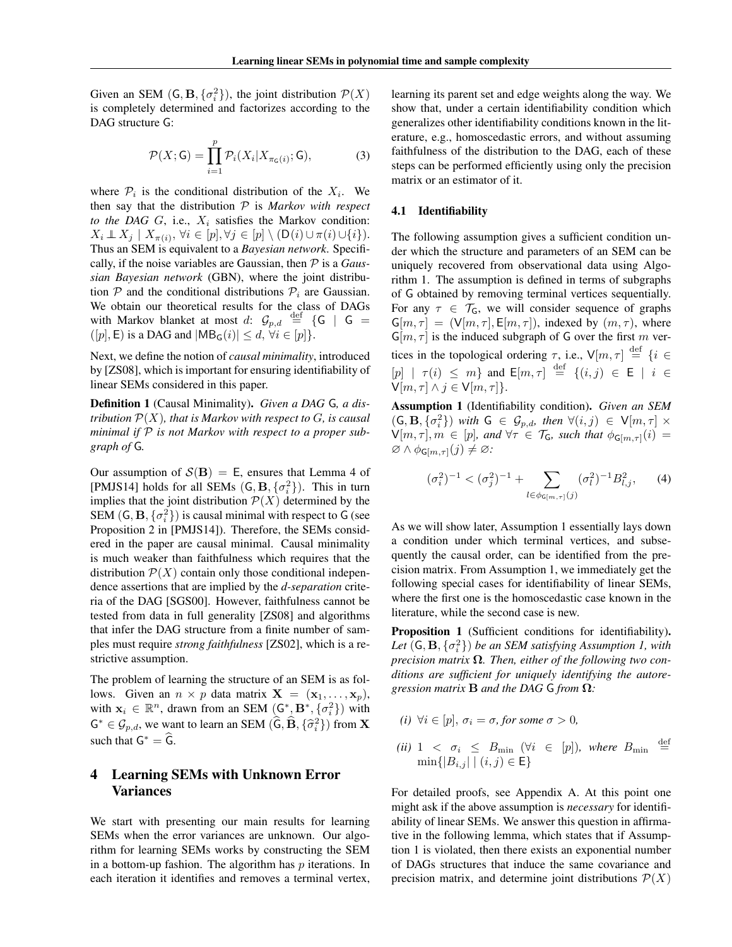Given an SEM  $(G, B, \{\sigma_i^2\})$ , the joint distribution  $P(X)$ is completely determined and factorizes according to the DAG structure G:

$$
\mathcal{P}(X; \mathsf{G}) = \prod_{i=1}^{p} \mathcal{P}_i(X_i | X_{\pi_{\mathsf{G}}(i)}; \mathsf{G}),\tag{3}
$$

where  $P_i$  is the conditional distribution of the  $X_i$ . We then say that the distribution *P* is *Markov with respect to the DAG*  $G$ , i.e.,  $X_i$  satisfies the Markov condition:  $X_i \perp\!\!\!\perp X_j \mid X_{\pi(i)}, \forall i \in [p], \forall j \in [p] \setminus (D(i) \cup \pi(i) \cup \{i\}).$ Thus an SEM is equivalent to a *Bayesian network*. Specifically, if the noise variables are Gaussian, then *P* is a *Gaussian Bayesian network* (GBN), where the joint distribution  $P$  and the conditional distributions  $P_i$  are Gaussian. We obtain our theoretical results for the class of DAGs with Markov blanket at most *d*:  $\mathcal{G}_{p,d}$   $\stackrel{\text{def}}{=}$  {G | G =  $([p], \mathsf{E})$  is a DAG and  $|\mathsf{MB}_\mathsf{G}(i)| \leq d, \forall i \in [p]\}.$ 

Next, we define the notion of *causal minimality*, introduced by [\[ZS08\]](#page-9-5), which is important for ensuring identifiability of linear SEMs considered in this paper.

Definition 1 (Causal Minimality). *Given a DAG* G*, a distribution P*(*X*)*, that is Markov with respect to G, is causal minimal if P is not Markov with respect to a proper subgraph of* G*.*

Our assumption of  $S(B) = E$ , ensures that Lemma 4 of [\[PMJS14\]](#page-8-3) holds for all SEMs  $(G, B, \{\sigma_i^2\})$ . This in turn implies that the joint distribution  $P(X)$  determined by the SEM  $(G, B, \{\sigma_i^2\})$  is causal minimal with respect to G (see Proposition 2 in [\[PMJS14\]](#page-8-3)). Therefore, the SEMs considered in the paper are causal minimal. Causal minimality is much weaker than faithfulness which requires that the distribution  $P(X)$  contain only those conditional independence assertions that are implied by the *d-separation* criteria of the DAG [\[SGS00\]](#page-9-2). However, faithfulness cannot be tested from data in full generality [\[ZS08\]](#page-9-5) and algorithms that infer the DAG structure from a finite number of samples must require *strong faithfulness* [\[ZS02\]](#page-9-6), which is a restrictive assumption.

The problem of learning the structure of an SEM is as follows. Given an  $n \times p$  data matrix  $X = (\mathbf{x}_1, \dots, \mathbf{x}_p)$ , with  $\mathbf{x}_i \in \mathbb{R}^n$ , drawn from an SEM  $(G^*, \mathbf{B}^*, {\{\sigma_i^2\}})$  with  $G^* \in \mathcal{G}_{p,d}$ , we want to learn an SEM  $(\widehat{G}, \widehat{B}, \{\widehat{\sigma}_i^2\})$  from **X** such that  $G^* = \widehat{G}$ .

# 4 Learning SEMs with Unknown Error Variances

We start with presenting our main results for learning SEMs when the error variances are unknown. Our algorithm for learning SEMs works by constructing the SEM in a bottom-up fashion. The algorithm has *p* iterations. In each iteration it identifies and removes a terminal vertex,

learning its parent set and edge weights along the way. We show that, under a certain identifiability condition which generalizes other identifiability conditions known in the literature, e.g., homoscedastic errors, and without assuming faithfulness of the distribution to the DAG, each of these steps can be performed efficiently using only the precision matrix or an estimator of it.

### 4.1 Identifiability

The following assumption gives a sufficient condition under which the structure and parameters of an SEM can be uniquely recovered from observational data using Algorithm [1.](#page-4-0) The assumption is defined in terms of subgraphs of G obtained by removing terminal vertices sequentially. For any  $\tau \in \mathcal{T}_G$ , we will consider sequence of graphs  $G[m, \tau] = (V[m, \tau], E[m, \tau])$ , indexed by  $(m, \tau)$ , where  $G[m, \tau]$  is the induced subgraph of G over the first m vertices in the topological ordering  $\tau$ , i.e.,  $V[m, \tau] \stackrel{\text{def}}{=} \{i \in \mathbb{Z} : |f(x)| \leq \tau \}$  $[p]$  |  $\tau(i) \leq m$ } and  $\mathsf{E}[m, \tau] \stackrel{\text{def}}{=} \{ (i, j) \in \mathsf{E} \mid i \in \mathsf{E} \}$  $V[m, \tau] \wedge j \in V[m, \tau]$ .

<span id="page-3-0"></span>Assumption 1 (Identifiability condition). *Given an SEM*  $(G, \mathbf{B}, \{\sigma_i^2\})$  with  $G \in \mathcal{G}_{p,d}$ , then  $\forall (i, j) \in V[m, \tau] \times$  $V[m,\tau], m \in [p]$ *, and*  $\forall \tau \in \mathcal{T}_G$ *, such that*  $\phi_{G[m,\tau]}(i) =$  $\varnothing \wedge \phi_{\mathsf{G}[m,\tau]}(j) \neq \varnothing$ :

$$
(\sigma_i^2)^{-1} < (\sigma_j^2)^{-1} + \sum_{l \in \phi_{\mathsf{G}[m,\tau]}(j)} (\sigma_l^2)^{-1} B_{l,j}^2,\tag{4}
$$

As we will show later, Assumption [1](#page-3-0) essentially lays down a condition under which terminal vertices, and subsequently the causal order, can be identified from the precision matrix. From Assumption [1,](#page-3-0) we immediately get the following special cases for identifiability of linear SEMs, where the first one is the homoscedastic case known in the literature, while the second case is new.

<span id="page-3-1"></span>Proposition 1 (Sufficient conditions for identifiability). Let  $(G, B, \{\sigma_i^2\})$  *be an SEM satisfying Assumption [1,](#page-3-0) with precision matrix*  $\Omega$ . Then, either of the following two con*ditions are sufficient for uniquely identifying the autoregression matrix*  $\bf{B}$  *and the DAG*  $\bf{G}$  *from*  $\bf{\Omega}$ *:* 

- *(i)*  $\forall i \in [p], \sigma_i = \sigma$ , for some  $\sigma > 0$ ,
- *(ii)* 1  $\langle \sigma_i \rangle \leq B_{\min} \quad (\forall i \in [p]),$  where  $B_{\min}$  $\stackrel{\text{def}}{=}$  $\min\{|B_{i,j}| \mid (i,j) \in \mathsf{E}\}\$

For detailed proofs, see Appendix [A.](#page-0-0) At this point one might ask if the above assumption is *necessary* for identifiability of linear SEMs. We answer this question in affirmative in the following lemma, which states that if Assumption [1](#page-3-0) is violated, then there exists an exponential number of DAGs structures that induce the same covariance and precision matrix, and determine joint distributions  $P(X)$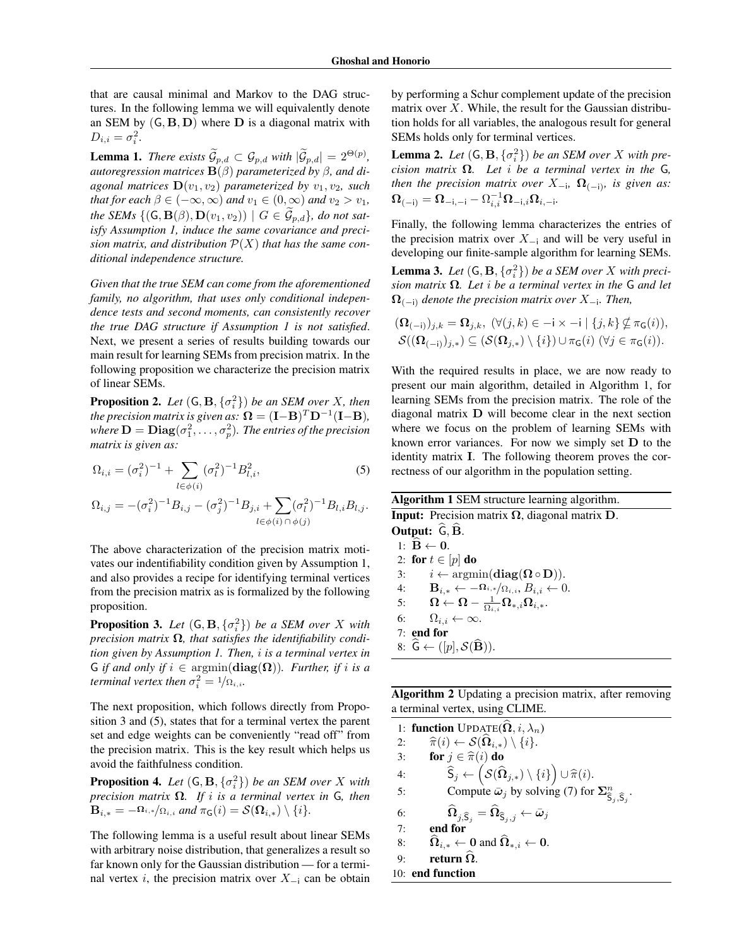that are causal minimal and Markov to the DAG structures. In the following lemma we will equivalently denote an SEM by  $(G, B, D)$  where  $D$  is a diagonal matrix with  $D_{i,i} = \sigma_i^2$ .

**Lemma 1.** *There exists*  $\mathcal{G}_{p,d} \subset \mathcal{G}_{p,d}$  *with*  $|\mathcal{G}_{p,d}| = 2^{\Theta(p)}$ , autoregression matrices  $\mathbf{B}(\beta)$  parameterized by  $\beta$ , and di*agonal matrices*  $\mathbf{D}(v_1, v_2)$  *parameterized by*  $v_1, v_2$ *, such that for each*  $\beta \in (-\infty, \infty)$  *and*  $v_1 \in (0, \infty)$  *and*  $v_2 > v_1$ *, the SEMs*  $\{(\mathsf{G}, \mathbf{B}(\beta), \mathbf{D}(v_1, v_2)) \mid G \in \mathcal{G}_{p,d}\}$ , do not sat*isfy Assumption [1,](#page-3-0) induce the same covariance and precision matrix, and distribution*  $\mathcal{P}(X)$  *that has the same conditional independence structure.*

*Given that the true SEM can come from the aforementioned family, no algorithm, that uses only conditional independence tests and second moments, can consistently recover the true DAG structure if Assumption [1](#page-3-0) is not satisfied*. Next, we present a series of results building towards our main result for learning SEMs from precision matrix. In the following proposition we characterize the precision matrix of linear SEMs.

<span id="page-4-4"></span>**Proposition 2.** *Let*  $(G, B, \{\sigma_i^2\})$  *be an SEM over X, then the precision matrix is given as:*  $\Omega = (\mathbf{I} - \mathbf{B})^T \mathbf{D}^{-1} (\mathbf{I} - \mathbf{B})$ *,* where  $\mathbf{D} = \mathbf{Diag}(\sigma_1^2, \dots, \sigma_p^2)$ . The entries of the precision *matrix is given as:*

$$
\Omega_{i,i} = (\sigma_i^2)^{-1} + \sum_{l \in \phi(i)} (\sigma_l^2)^{-1} B_{l,i}^2,
$$
\n(5)

$$
\Omega_{i,j} = -(\sigma_i^2)^{-1} B_{i,j} - (\sigma_j^2)^{-1} B_{j,i} + \sum_{l \in \phi(i) \cap \phi(j)} (\sigma_l^2)^{-1} B_{l,i} B_{l,j}.
$$

The above characterization of the precision matrix motivates our indentifiability condition given by Assumption [1,](#page-3-0) and also provides a recipe for identifying terminal vertices from the precision matrix as is formalized by the following proposition.

<span id="page-4-1"></span>**Proposition 3.** Let  $(G, B, \{\sigma_i^2\})$  be a SEM over *X* with *precision matrix*  $\Omega$ , that satisfies the identifiability condi*tion given by Assumption [1.](#page-3-0) Then, i is a terminal vertex in* G *if and only if*  $i \in \text{argmin}(\text{diag}(\Omega))$ *. Further, if i is a terminal vertex then*  $\sigma_i^2 = \frac{1}{\Omega_{i,i}}$ .

The next proposition, which follows directly from Proposition [3](#page-4-1) and [\(5\)](#page-4-2), states that for a terminal vertex the parent set and edge weights can be conveniently "read off" from the precision matrix. This is the key result which helps us avoid the faithfulness condition.

**Proposition 4.** Let  $(G, B, \{\sigma_i^2\})$  be an SEM over X with *precision matrix*  $\Omega$ *. If i is a terminal vertex in*  $G$ *, then*  $\mathbf{B}_{i,*} = -\Omega_{i,*}/\Omega_{i,i}$  and  $\pi_{\mathsf{G}}(i) = \mathcal{S}(\Omega_{i,*}) \setminus \{i\}.$ 

The following lemma is a useful result about linear SEMs with arbitrary noise distribution, that generalizes a result so far known only for the Gaussian distribution — for a terminal vertex *i*, the precision matrix over  $X_{-i}$  can be obtain

by performing a Schur complement update of the precision matrix over *X*. While, the result for the Gaussian distribution holds for all variables, the analogous result for general SEMs holds only for terminal vertices.

**Lemma 2.** Let  $(G, B, \{\sigma_i^2\})$  be an SEM over *X* with pre*cision matrix*  $\Omega$ *. Let i be a terminal vertex in the*  $G$ *, then the precision matrix over*  $X_{-i}$ ,  $\Omega_{(-i)}$ *, is given as:*  $\boldsymbol{\Omega}_{(-\mathsf{i})} = \boldsymbol{\Omega}_{-\mathsf{i},- \mathsf{i}}^{-1} - \Omega_{i,i}^{-1}\boldsymbol{\Omega}_{-\mathsf{i},i}\boldsymbol{\Omega}_{i,-\mathsf{i}}.$ 

Finally, the following lemma characterizes the entries of the precision matrix over  $X_{-i}$  and will be very useful in developing our finite-sample algorithm for learning SEMs.

**Lemma 3.** Let  $(G, B, \{\sigma_i^2\})$  be a SEM over *X* with preci*sion matrix*  $\Omega$ *. Let <i>i be a terminal vertex in the* G *and let*  $\Omega_{(-i)}$  denote the precision matrix over  $X_{-i}$ . Then,

$$
(\mathbf{\Omega}_{(-i)})_{j,k} = \mathbf{\Omega}_{j,k}, \ (\forall (j,k) \in -i \times -i \mid \{j,k\} \nsubseteq \pi_{\mathsf{G}}(i)),
$$
  

$$
\mathcal{S}((\mathbf{\Omega}_{(-i)})_{j,k}) \subseteq (\mathcal{S}(\mathbf{\Omega}_{j,k}) \setminus \{i\}) \cup \pi_{\mathsf{G}}(i) \ (\forall j \in \pi_{\mathsf{G}}(i)).
$$

With the required results in place, we are now ready to present our main algorithm, detailed in Algorithm [1,](#page-4-0) for learning SEMs from the precision matrix. The role of the diagonal matrix D will become clear in the next section where we focus on the problem of learning SEMs with known error variances. For now we simply set D to the identity matrix I. The following theorem proves the correctness of our algorithm in the population setting.

<span id="page-4-2"></span><span id="page-4-0"></span>

|  |  | Algorithm 1 SEM structure learning algorithm. |  |
|--|--|-----------------------------------------------|--|
|--|--|-----------------------------------------------|--|

**Input:** Precision matrix  $\Omega$ , diagonal matrix  $D$ . Output:  $\widehat{G}, \widehat{B}$ . 1:  $\ddot{\mathbf{B}} \leftarrow \mathbf{0}$ . 2: **for**  $t \in [p]$  **do**<br>3:  $i \leftarrow \text{argm}$ 3:  $i \leftarrow \operatorname{argmin}(\operatorname{diag}(\mathbf{\Omega} \circ \mathbf{D})).$ <br>4:  $\mathbf{B}_{i} \leftarrow -\mathbf{\Omega}_{i,*}/\Omega_{i,i}, B_{i} \leftarrow 0.$ 4:  $\mathbf{B}_{i,*} \leftarrow -\mathbf{\Omega}_{i,*}/\mathbf{\Omega}_{i,i}, B_{i,i} \leftarrow 0.$ <br>5:  $\mathbf{\Omega} \leftarrow \mathbf{\Omega} - \frac{1}{\mathbf{\Omega} \cdot \mathbf{\Omega}_{i,i}} \mathbf{\Omega}_{i,*}.$  $5: \qquad \boldsymbol{\Omega} \leftarrow \boldsymbol{\Omega} - \frac{1}{\Omega_{i,i}} \boldsymbol{\Omega}_{*,i} \boldsymbol{\Omega}_{i, *}.$ 6:  $\Omega_{i,i} \leftarrow \infty$ . 7: end for 8:  $\tilde{\mathsf{G}} \leftarrow ([p], \mathcal{S}(\tilde{\mathbf{B}})).$ 

<span id="page-4-3"></span>Algorithm 2 Updating a precision matrix, after removing a terminal vertex, using CLIME.

1: **function**  $\text{UPDATE}(\hat{\Omega}, i, \lambda_n)$ <br>2:  $\hat{\pi}(i) \leftarrow S(\hat{\Omega}_{i,*}) \setminus \{i\}.$ 2:  $\widehat{\pi}(i) \leftarrow S(\widehat{\Omega}_{i,*}) \setminus \{i\}.$ <br>3: **for**  $j \in \widehat{\pi}(i)$  **do** 3: **for**  $j \in \hat{\pi}(i)$  do<br>4:  $\hat{S}_j \leftarrow (S(\hat{\Omega}$  $\mathsf{G}_j \leftarrow \left( \mathcal{S}(\widehat{\mathbf{\Omega}}_{j,*}) \setminus \{i\} \right) \cup \widehat{\pi}(i).$ 5: Compute  $\bar{\omega}_j$  by solving [\(7\)](#page-5-0) for  $\sum_{\hat{\mathsf{S}}_j, \hat{\mathsf{S}}_j}^n$ . 6:  $\widehat{\Omega}_{j,\widehat{S}_j} = \widehat{\Omega}_{\widehat{S}_j,j} \leftarrow \bar{\omega}_j$ <br>7: **end for** end for 8:  $\widehat{\Omega}_{i,*} \leftarrow 0$  and  $\widehat{\Omega}_{*,i} \leftarrow 0$ . 9: return  $\Omega$ . 10: end function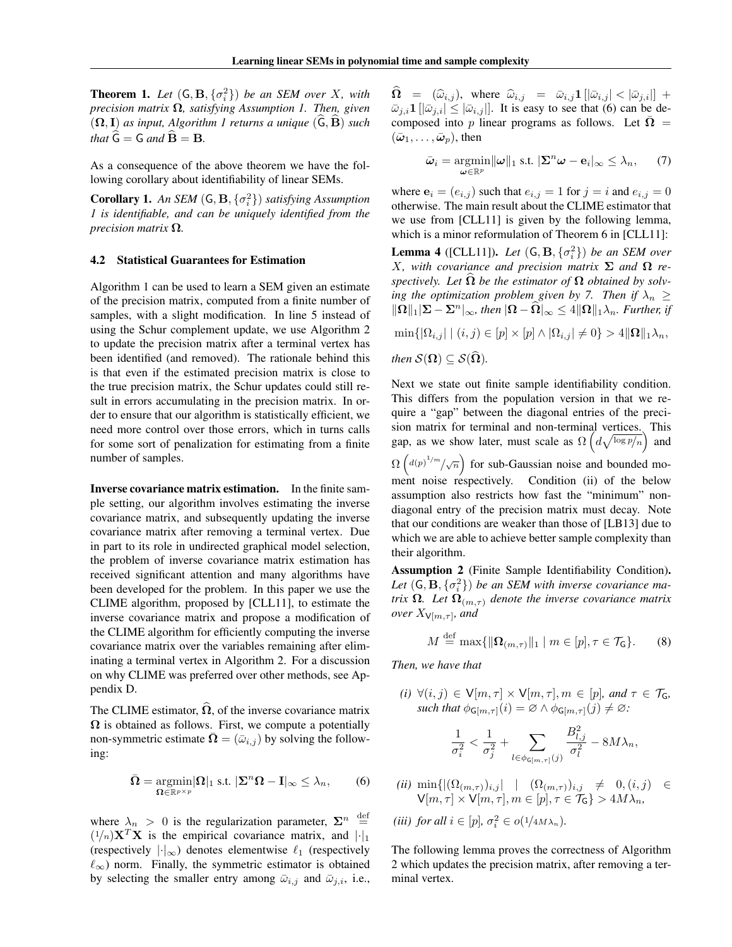**Theorem 1.** Let  $(G, B, \{\sigma_i^2\})$  be an SEM over *X*, with *precision matrix*  $\Omega$ *, satisfying Assumption [1.](#page-3-0) Then, given*  $({\Omega}, {\bf I})$  *as input, Algorithm [1](#page-4-0) returns a unique*  $({\bf G}, {\bf B})$  *such that*  $\hat{G} = G$  *and*  $\hat{B} = B$ *.* 

As a consequence of the above theorem we have the following corollary about identifiability of linear SEMs.

**Corollary 1.** An SEM  $(G, B, \{\sigma_i^2\})$  *satisfying Assumption [1](#page-3-0) is identifiable, and can be uniquely identified from the precision matrix*  $\Omega$ *.* 

#### 4.2 Statistical Guarantees for Estimation

Algorithm [1](#page-4-0) can be used to learn a SEM given an estimate of the precision matrix, computed from a finite number of samples, with a slight modification. In line [5](#page-4-0) instead of using the Schur complement update, we use Algorithm [2](#page-4-3) to update the precision matrix after a terminal vertex has been identified (and removed). The rationale behind this is that even if the estimated precision matrix is close to the true precision matrix, the Schur updates could still result in errors accumulating in the precision matrix. In order to ensure that our algorithm is statistically efficient, we need more control over those errors, which in turns calls for some sort of penalization for estimating from a finite number of samples.

Inverse covariance matrix estimation. In the finite sample setting, our algorithm involves estimating the inverse covariance matrix, and subsequently updating the inverse covariance matrix after removing a terminal vertex. Due in part to its role in undirected graphical model selection, the problem of inverse covariance matrix estimation has received significant attention and many algorithms have been developed for the problem. In this paper we use the CLIME algorithm, proposed by [\[CLL11\]](#page-8-12), to estimate the inverse covariance matrix and propose a modification of the CLIME algorithm for efficiently computing the inverse covariance matrix over the variables remaining after eliminating a terminal vertex in Algorithm [2.](#page-4-3) For a discussion on why CLIME was preferred over other methods, see Appendix [D.](#page-0-1)

The CLIME estimator,  $\hat{\Omega}$ , of the inverse covariance matrix  $\Omega$  is obtained as follows. First, we compute a potentially non-symmetric estimate  $\Omega = (\bar{\omega}_{i,j})$  by solving the following:

$$
\bar{\mathbf{\Omega}} = \underset{\mathbf{\Omega} \in \mathbb{R}^{p \times p}}{\operatorname{argmin}} |\mathbf{\Omega}|_1 \text{ s.t. } |\mathbf{\Sigma}^n \mathbf{\Omega} - \mathbf{I}|_\infty \le \lambda_n, \qquad (6)
$$

where  $\lambda_n > 0$  is the regularization parameter,  $\Sigma^n \stackrel{\text{def}}{=}$  $(1/n)\mathbf{X}^T\mathbf{X}$  is the empirical covariance matrix, and  $\left|\cdot\right|_1$ (respectively  $|\cdot|_{\infty}$ ) denotes elementwise  $\ell_1$  (respectively  $\ell_{\infty}$ ) norm. Finally, the symmetric estimator is obtained by selecting the smaller entry among  $\bar{\omega}_{i,j}$  and  $\bar{\omega}_{j,i}$ , i.e.,  $\widehat{\Omega} = (\widehat{\omega}_{i,j}),$  where  $\widehat{\omega}_{i,j} = \overline{\omega}_{i,j} \mathbf{1} \left[ |\overline{\omega}_{i,j}| < |\overline{\omega}_{j,i}| \right] +$  $|\bar{\omega}_{j,i}1||\bar{\omega}_{j,i}| \leq |\bar{\omega}_{i,j}|$ . It is easy to see that [\(6\)](#page-5-1) can be decomposed into p linear programs as follows. Let  $\Omega =$  $(\bar{\omega}_1, \ldots, \bar{\omega}_p)$ , then

<span id="page-5-0"></span>
$$
\bar{\boldsymbol{\omega}}_i = \underset{\boldsymbol{\omega} \in \mathbb{R}^p}{\operatorname{argmin}} ||\boldsymbol{\omega}||_1 \text{ s.t. } |\boldsymbol{\Sigma}^n \boldsymbol{\omega} - \mathbf{e}_i|_{\infty} \leq \lambda_n, \qquad (7)
$$

where  $e_i = (e_{i,j})$  such that  $e_{i,j} = 1$  for  $j = i$  and  $e_{i,j} = 0$ otherwise. The main result about the CLIME estimator that we use from [\[CLL11\]](#page-8-12) is given by the following lemma, which is a minor reformulation of Theorem 6 in [\[CLL11\]](#page-8-12):

**Lemma 4** ([\[CLL11\]](#page-8-12)). *Let*  $(G, B, \{\sigma_i^2\})$  *be an SEM over X*, with covariance and precision matrix  $\Sigma$  and  $\Omega$  respectively. Let  $\Omega$  be the estimator of  $\Omega$  obtained by solv-*ing the optimization problem given by [7.](#page-5-0) Then if*  $\lambda_n \geq$  $\|\Omega\|_1 |\Sigma - \Sigma^n|_{\infty}$ , then  $|\Omega - \Omega|_{\infty} \leq 4 \|\Omega\|_1 \lambda_n$ . Further, if  $\min\{|\Omega_{i,j}| \mid (i,j) \in [p] \times [p] \wedge |\Omega_{i,j}| \neq 0\} > 4 \|\Omega\|_1 \lambda_n,$ *then*  $S(\Omega) \subseteq S(\widehat{\Omega})$ *.* 

Next we state out finite sample identifiability condition. This differs from the population version in that we require a "gap" between the diagonal entries of the precision matrix for terminal and non-terminal vertices. This gap, as we show later, must scale as  $\Omega\left(d\sqrt{\log p/n}\right)$  and  $\Omega\left(\frac{d(p)^{1/m}}{\sqrt{n}}\right)$  for sub-Gaussian noise and bounded moment noise respectively. Condition (ii) of the below assumption also restricts how fast the "minimum" nondiagonal entry of the precision matrix must decay. Note that our conditions are weaker than those of [\[LB13\]](#page-8-1) due to which we are able to achieve better sample complexity than their algorithm.

<span id="page-5-3"></span>Assumption 2 (Finite Sample Identifiability Condition). Let  $(G, B, \{\sigma_i^2\})$  be an SEM with inverse covariance ma*trix*  $\Omega$ *. Let*  $\Omega_{(m,\tau)}$  *denote the inverse covariance matrix over*  $X_{\mathsf{V}[m,\tau]}$ *, and* 

<span id="page-5-2"></span>
$$
M \stackrel{\text{def}}{=} \max\{\|\mathbf{\Omega}_{(m,\tau)}\|_1 \mid m \in [p], \tau \in \mathcal{T}_{\mathsf{G}}\}.
$$
 (8)

*Then, we have that*

 $(i)$   $\forall (i, j) \in V[m, \tau] \times V[m, \tau], m \in [p]$ *, and*  $\tau \in \mathcal{T}_G$ *, such that*  $\phi_{\mathsf{G}[m,\tau]}(i) = \emptyset \land \phi_{\mathsf{G}[m,\tau]}(j) \neq \emptyset$ .

$$
\frac{1}{\sigma_i^2} < \frac{1}{\sigma_j^2} + \sum_{l \in \phi_{\mathsf{G}[m,\tau]}(j)} \frac{B_{l,j}^2}{\sigma_l^2} - 8M\lambda_n,
$$

<span id="page-5-1"></span> $(iii)$  min $\{ |(\Omega_{(m,\tau)})_{i,j}| \mid (\Omega_{(m,\tau)})_{i,j} \neq 0, (i,j) \in$  $V[m, \tau] \times V[m, \tau], m \in [p], \tau \in \mathcal{T}_G\} > 4M\lambda_n,$ 

$$
(iii) for all  $i \in [p], \sigma_i^2 \in o(1/4M\lambda_n).$
$$

The following lemma proves the correctness of Algorithm [2](#page-4-3) which updates the precision matrix, after removing a terminal vertex.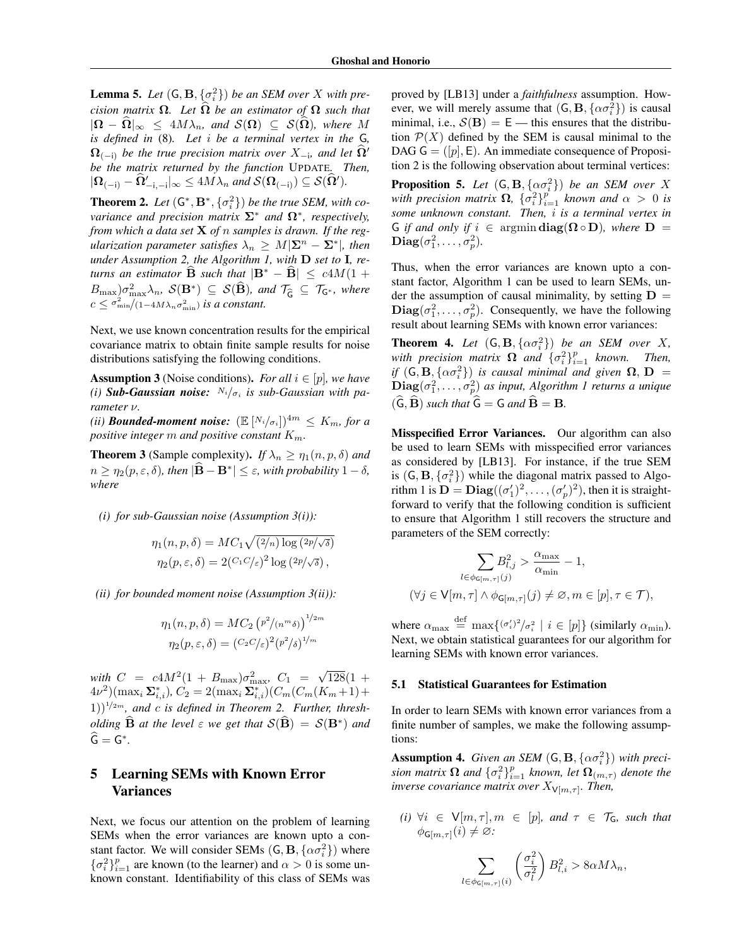**Lemma 5.** Let  $(G, B, \{\sigma_i^2\})$  be an SEM over *X* with pre*cision matrix*  $\Omega$ *. Let*  $\hat{\Omega}$  *be an estimator of*  $\Omega$  *such that*  $|\Omega - \hat{\Omega}|_{\infty} \leq 4M\lambda_n$ , and  $\mathcal{S}(\Omega) \subseteq \mathcal{S}(\hat{\Omega})$ , where M *is defined in* [\(8\)](#page-5-2)*. Let i be a terminal vertex in the* G*,*  $\Omega_{(-i)}$  be the true precision matrix over  $X_{-i}$ , and let  $\Omega'$ *be the matrix returned by the function* UPDATE*. Then,*  $|\mathbf{\Omega}_{(-i)} - \mathbf{\Omega}'_{-i,-i}|_{\infty} \le 4M\lambda_n$  and  $\mathcal{S}(\mathbf{\Omega}_{(-i)}) \subseteq \mathcal{S}(\mathbf{\Omega}')$ .

<span id="page-6-1"></span>**Theorem 2.** Let  $(G^*, B^*, \{\sigma_i^2\})$  be the true SEM, with co*variance and precision matrix*  $\Sigma^*$  *and*  $\Omega^*$ *, respectively, from which a data set* X *of n samples is drawn. If the regularization parameter satisfies*  $\lambda_n \geq M|\Sigma^n - \Sigma^*|$ *, then under Assumption [2,](#page-5-3) the Algorithm [1,](#page-4-0) with* D *set to* I*, returns an estimator* **B** *such that*  $|\mathbf{B}^* - \mathbf{B}| \leq c4M(1 +$  $B_{\max}$  $\partial \sigma_{\max}^2 \lambda_n$ ,  $\mathcal{S}(\mathbf{B}^*)$   $\subseteq$   $\mathcal{S}(\widehat{\mathbf{B}})$ *, and*  $\mathcal{T}_{\widehat{\mathsf{G}}}$   $\subseteq$   $\mathcal{T}_{\mathsf{G}^*}$ *, where*  $c \leq \frac{\sigma_{\min}^2}{1-4M\lambda_n\sigma_{\min}^2}$  *is a constant.* 

Next, we use known concentration results for the empirical covariance matrix to obtain finite sample results for noise distributions satisfying the following conditions.

<span id="page-6-0"></span>**Assumption 3** (Noise conditions). For all  $i \in [p]$ , we have *(i)* **Sub-Gaussian noise:**  $N_i/\sigma_i$  is sub-Gaussian with pa*rameter*  $\nu$ .

*(ii)* **Bounded-moment noise:**  $(\mathbb{E}[N_i/\sigma_i])^{4m} \leq K_m$ , for a *positive integer m and positive constant Km.*

<span id="page-6-2"></span>**Theorem 3** (Sample complexity). *If*  $\lambda_n \geq \eta_1(n, p, \delta)$  *and*  $n \geq \eta_2(p, \varepsilon, \delta)$ , then  $|\mathbf{B} - \mathbf{B}^*| \leq \varepsilon$ , with probability  $1 - \delta$ , *where*

*(i) for sub-Gaussian noise (Assumption [3\(](#page-6-0)i)):*

$$
\eta_1(n, p, \delta) = MC_1 \sqrt{(2/n) \log (2p/\sqrt{\delta})}
$$
  

$$
\eta_2(p, \varepsilon, \delta) = 2(C_1 C/\varepsilon)^2 \log (2p/\sqrt{\delta}),
$$

*(ii) for bounded moment noise (Assumption [3\(](#page-6-0)ii)):*

$$
\eta_1(n, p, \delta) = MC_2 (p^2/(n^m \delta))^{1/2m}
$$

$$
\eta_2(p, \varepsilon, \delta) = (C_2 C/\varepsilon)^2 (p^2/\delta)^{1/m}
$$

*with*  $C = c4M^2(1 + B_{\text{max}})\sigma_{\text{max}}^2$ ,  $C_1 = \sqrt{128}(1 +$  $(4\nu^2)(\max_i \Sigma_{i,i}^*), C_2 = 2(\max_i \Sigma_{i,i}^*)(C_m(C_m(K_m+1))$  $(1)$ <sup> $1/2m$ </sup>, and *c* is defined in Theorem [2.](#page-6-1) Further, thresh*olding*  $\widehat{B}$  *at the level*  $\varepsilon$  *we get that*  $S(\widehat{B}) = S(B^*)$  *and*  $\widehat{\mathsf{G}} = \mathsf{G}^*$ .

# 5 Learning SEMs with Known Error Variances

Next, we focus our attention on the problem of learning SEMs when the error variances are known upto a constant factor. We will consider SEMs  $(G, B, {\alpha \sigma_i^2})$  where  ${\{\sigma_i^2\}}_{i=1}^p$  are known (to the learner) and  $\alpha > 0$  is some unknown constant. Identifiability of this class of SEMs was

proved by [\[LB13\]](#page-8-1) under a *faithfulness* assumption. However, we will merely assume that  $(G, \mathbf{B}, {\alpha \sigma_i^2})$  is causal minimal, i.e.,  $S(\mathbf{B}) = \mathbf{E}$  — this ensures that the distribution  $P(X)$  defined by the SEM is causal minimal to the DAG  $G = ([p], E)$ . An immediate consequence of Proposition [2](#page-4-4) is the following observation about terminal vertices:

**Proposition 5.** Let  $(G, B, {\alpha\sigma_i^2})$  be an SEM over X *with precision matrix*  $\Omega$ ,  ${\sigma_i^2}_{i=1}^p$  *known and*  $\alpha > 0$  *is some unknown constant. Then, i is a terminal vertex in* G *if and only if*  $i \in \text{argmin} \, \text{diag}(\Omega \circ D)$ *, where*  $D =$  $\mathbf{Diag}(\sigma_1^2,\ldots,\sigma_p^2)$ .

Thus, when the error variances are known upto a constant factor, Algorithm [1](#page-4-0) can be used to learn SEMs, under the assumption of causal minimality, by setting  $D =$  $\text{Diag}(\sigma_1^2, \ldots, \sigma_p^2)$ . Consequently, we have the following result about learning SEMs with known error variances:

**Theorem 4.** Let  $(G, B, {\alpha\sigma_i^2})$  be an SEM over *X*, *with precision matrix*  $\Omega$  *and*  $\{\sigma_i^2\}_{i=1}^p$  *known. Then, if*  $(G, B, {\alpha\sigma_i^2})$  *is causal minimal and given*  $\Omega, D =$  $\textbf{Diag}(\sigma_1^2,\ldots,\sigma_p^2)$  as input, Algorithm [1](#page-4-0) returns a unique  $(\widehat{\mathbf{G}}, \widehat{\mathbf{B}})$  *such that*  $\widehat{\mathbf{G}} = \mathbf{G}$  *and*  $\widehat{\mathbf{B}} = \mathbf{B}$ *.* 

Misspecified Error Variances. Our algorithm can also be used to learn SEMs with misspecified error variances as considered by [\[LB13\]](#page-8-1). For instance, if the true SEM is  $(G, B, \{\sigma_i^2\})$  while the diagonal matrix passed to Algo-rithm [1](#page-4-0) is  $\mathbf{D} = \mathbf{Diag}((\sigma'_1)^2, \dots, (\sigma'_p)^2)$ , then it is straightforward to verify that the following condition is sufficient to ensure that Algorithm [1](#page-4-0) still recovers the structure and parameters of the SEM correctly:

$$
\sum_{l \in \phi_{\mathsf{G}[m,\tau]}(j)} \hspace{-1cm} B_{l,j}^2 > \frac{\alpha_{\max}}{\alpha_{\min}} - 1,
$$
\n
$$
(\forall j \in \mathsf{V}[m,\tau] \land \phi_{\mathsf{G}[m,\tau]}(j) \neq \varnothing, m \in [p], \tau \in \mathcal{T}),
$$

where  $\alpha_{\text{max}} \stackrel{\text{def}}{=} \max\{(\sigma_i')^2 / \sigma_i^2 \mid i \in [p]\}\)$  (similarly  $\alpha_{\text{min}}$ ). Next, we obtain statistical guarantees for our algorithm for learning SEMs with known error variances.

#### 5.1 Statistical Guarantees for Estimation

In order to learn SEMs with known error variances from a finite number of samples, we make the following assumptions:

<span id="page-6-3"></span>Assumption 4. *Given an SEM*  $(G, B, {\alpha\sigma_i^2})$  *with precision matrix*  $\Omega$  *and*  $\{\sigma_i^2\}_{i=1}^p$  *known, let*  $\Omega_{(m,\tau)}$  *denote the inverse covariance matrix over*  $X_{\mathsf{V}[m,\tau]}$ *. Then,* 

 $(i)$   $\forall i \in V[m, \tau], m \in [p]$ *, and*  $\tau \in \mathcal{T}_G$ *, such that*  $\phi_{\mathsf{G}[m,\tau]}(i) \neq \varnothing$ :

$$
\sum_{l \in \phi_{\mathsf{G}[m,\tau]}(i)} \left( \frac{\sigma_i^2}{\sigma_l^2} \right) B_{l,i}^2 > 8\alpha M \lambda_n,
$$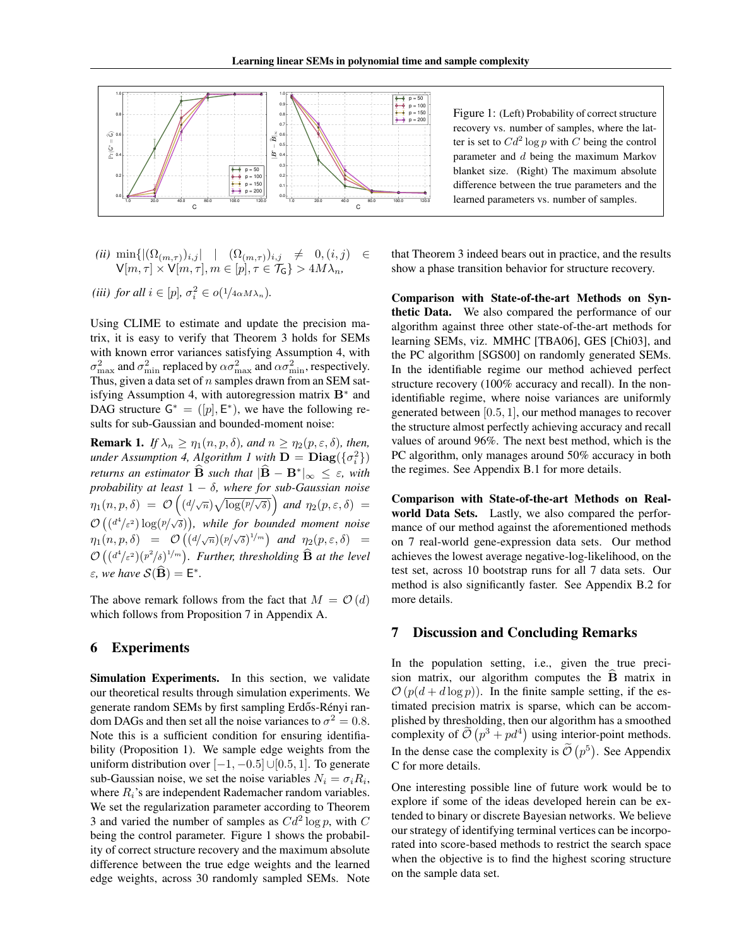

<span id="page-7-0"></span>Figure 1: (Left) Probability of correct structure recovery vs. number of samples, where the latter is set to  $Cd^2 \log p$  with *C* being the control parameter and *d* being the maximum Markov blanket size. (Right) The maximum absolute difference between the true parameters and the learned parameters vs. number of samples.

$$
\begin{array}{lll}\n(ii) \min\{ |(\Omega_{(m,\tau)})_{i,j}| & | & (\Omega_{(m,\tau)})_{i,j} \neq 0, (i,j) \in \mathsf{V}[m,\tau] \times \mathsf{V}[m,\tau], m \in [p], \tau \in \mathcal{T}_{\mathsf{G}} \} > 4M\lambda_n,\n\end{array}
$$

$$
(iii) for all  $i \in [p], \sigma_i^2 \in o(1/4 \alpha M \lambda_n).$
$$

Using CLIME to estimate and update the precision matrix, it is easy to verify that Theorem [3](#page-6-2) holds for SEMs with known error variances satisfying Assumption [4,](#page-6-3) with  $\sigma_{\max}^2$  and  $\sigma_{\min}^2$  replaced by  $\alpha \sigma_{\max}^2$  and  $\alpha \sigma_{\min}^2$ , respectively. Thus, given a data set of *n* samples drawn from an SEM sat-isfying Assumption [4,](#page-6-3) with autoregression matrix  $B^*$  and DAG structure  $G^* = ([p], E^*)$ , we have the following results for sub-Gaussian and bounded-moment noise:

**Remark 1.** *If*  $\lambda_n \geq \eta_1(n, p, \delta)$ , and  $n \geq \eta_2(p, \varepsilon, \delta)$ , then, *under Assumption [4,](#page-6-3) Algorithm [1](#page-4-0) with*  $D = Diag(\{\sigma_i^2\})$ *returns an estimator*  $\widehat{B}$  *such that*  $|\widehat{B} - B^*|_{\infty} \leq \varepsilon$ , with *probability at least*  $1 - \delta$ , where for sub-Gaussian noise  $m_1(n, p, \delta) = \mathcal{O}\left((d/\sqrt{n})\sqrt{\log(p/\sqrt{\delta})}\right)$  and  $\eta_2(p, \varepsilon, \delta) =$  $\mathcal{O}\left((d^4/\varepsilon^2)\log(p/\sqrt{\delta})\right)$ , while for bounded moment noise  $\eta_1(n, p, \delta) = \mathcal{O}\left((\frac{d}{\sqrt{n}})(p/\sqrt{\delta})^{1/m}\right)$  and  $\eta_2(p, \varepsilon, \delta) =$  $\mathcal{O}\left((d^4/\varepsilon^2)(p^2/\delta)^{1/m}\right)$ . Further, thresholding  $\widehat{\mathbf{B}}$  at the level  $\varepsilon$ , we have  $\mathcal{S}(\widehat{\mathbf{B}}) = \mathsf{E}^*$ .

The above remark follows from the fact that  $M = \mathcal{O}(d)$ which follows from Proposition [7](#page-0-2) in Appendix [A.](#page-0-0)

### 6 Experiments

Simulation Experiments. In this section, we validate our theoretical results through simulation experiments. We generate random SEMs by first sampling Erdős-Rényi random DAGs and then set all the noise variances to  $\sigma^2 = 0.8$ . Note this is a sufficient condition for ensuring identifiability (Proposition [1\)](#page-3-1). We sample edge weights from the uniform distribution over  $[-1, -0.5] \cup [0.5, 1]$ . To generate sub-Gaussian noise, we set the noise variables  $N_i = \sigma_i R_i$ , where *Ri*'s are independent Rademacher random variables. We set the regularization parameter according to Theorem [3](#page-6-2) and varied the number of samples as *Cd*<sup>2</sup> log *p*, with *C* being the control parameter. Figure [1](#page-7-0) shows the probability of correct structure recovery and the maximum absolute difference between the true edge weights and the learned edge weights, across 30 randomly sampled SEMs. Note that Theorem [3](#page-6-2) indeed bears out in practice, and the results show a phase transition behavior for structure recovery.

Comparison with State-of-the-art Methods on Synthetic Data. We also compared the performance of our algorithm against three other state-of-the-art methods for learning SEMs, viz. MMHC [\[TBA06\]](#page-9-4), GES [\[Chi03\]](#page-8-10), and the PC algorithm [\[SGS00\]](#page-9-2) on randomly generated SEMs. In the identifiable regime our method achieved perfect structure recovery (100% accuracy and recall). In the nonidentifiable regime, where noise variances are uniformly generated between [0*.*5*,* 1], our method manages to recover the structure almost perfectly achieving accuracy and recall values of around 96%. The next best method, which is the PC algorithm, only manages around 50% accuracy in both the regimes. See Appendix [B.1](#page-0-3) for more details.

Comparison with State-of-the-art Methods on Realworld Data Sets. Lastly, we also compared the performance of our method against the aforementioned methods on 7 real-world gene-expression data sets. Our method achieves the lowest average negative-log-likelihood, on the test set, across 10 bootstrap runs for all 7 data sets. Our method is also significantly faster. See Appendix [B.2](#page-0-4) for more details.

#### 7 Discussion and Concluding Remarks

In the population setting, i.e., given the true precision matrix, our algorithm computes the  $B$  matrix in  $\mathcal{O}(p(d+d \log p))$ . In the finite sample setting, if the estimated precision matrix is sparse, which can be accomplished by thresholding, then our algorithm has a smoothed complexity of  $\tilde{\mathcal{O}}(p^3 + pd^4)$  using interior-point methods. In the dense case the complexity is  $\tilde{\mathcal{O}}(p^5)$ . See Appendix [C](#page-0-5) for more details.

One interesting possible line of future work would be to explore if some of the ideas developed herein can be extended to binary or discrete Bayesian networks. We believe our strategy of identifying terminal vertices can be incorporated into score-based methods to restrict the search space when the objective is to find the highest scoring structure on the sample data set.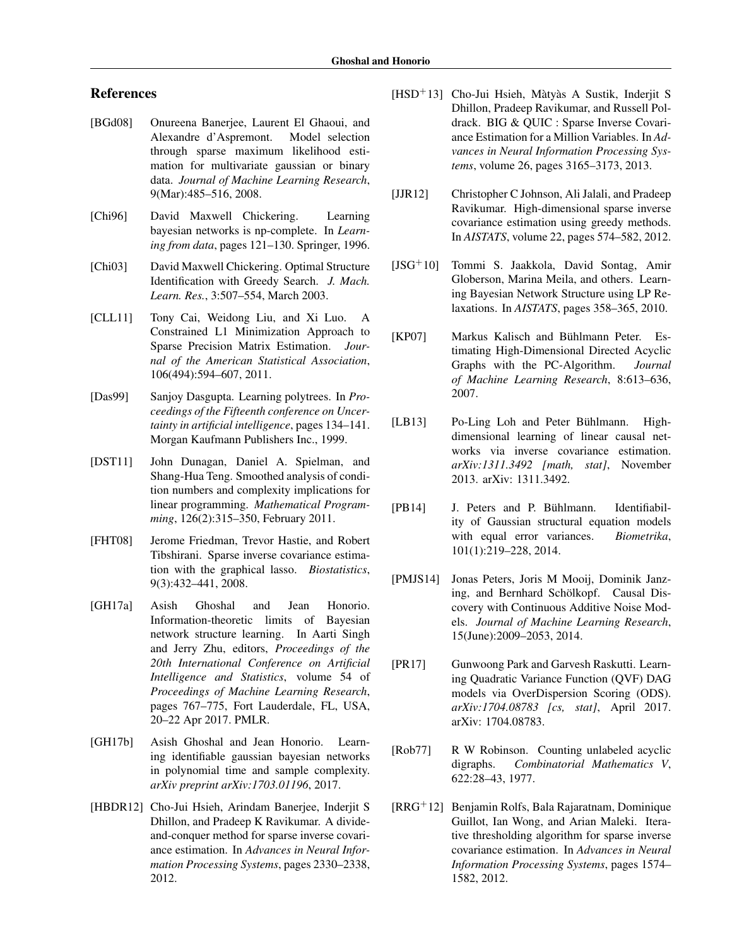# References

- [BGd08] Onureena Banerjee, Laurent El Ghaoui, and Alexandre d'Aspremont. Model selection through sparse maximum likelihood estimation for multivariate gaussian or binary data. *Journal of Machine Learning Research*, 9(Mar):485–516, 2008.
- <span id="page-8-5"></span>[Chi96] David Maxwell Chickering. Learning bayesian networks is np-complete. In *Learning from data*, pages 121–130. Springer, 1996.
- <span id="page-8-10"></span>[Chi03] David Maxwell Chickering. Optimal Structure Identification with Greedy Search. *J. Mach. Learn. Res.*, 3:507–554, March 2003.
- <span id="page-8-12"></span>[CLL11] Tony Cai, Weidong Liu, and Xi Luo. A Constrained L1 Minimization Approach to Sparse Precision Matrix Estimation. *Journal of the American Statistical Association*, 106(494):594–607, 2011.
- <span id="page-8-6"></span>[Das99] Sanjoy Dasgupta. Learning polytrees. In *Proceedings of the Fifteenth conference on Uncertainty in artificial intelligence*, pages 134–141. Morgan Kaufmann Publishers Inc., 1999.
- [DST11] John Dunagan, Daniel A. Spielman, and Shang-Hua Teng. Smoothed analysis of condition numbers and complexity implications for linear programming. *Mathematical Programming*, 126(2):315–350, February 2011.
- [FHT08] Jerome Friedman, Trevor Hastie, and Robert Tibshirani. Sparse inverse covariance estimation with the graphical lasso. *Biostatistics*, 9(3):432–441, 2008.
- <span id="page-8-8"></span>[GH17a] Asish Ghoshal and Jean Honorio. Information-theoretic limits of Bayesian network structure learning. In Aarti Singh and Jerry Zhu, editors, *Proceedings of the 20th International Conference on Artificial Intelligence and Statistics*, volume 54 of *Proceedings of Machine Learning Research*, pages 767–775, Fort Lauderdale, FL, USA, 20–22 Apr 2017. PMLR.
- <span id="page-8-9"></span>[GH17b] Asish Ghoshal and Jean Honorio. Learning identifiable gaussian bayesian networks in polynomial time and sample complexity. *arXiv preprint arXiv:1703.01196*, 2017.
- [HBDR12] Cho-Jui Hsieh, Arindam Banerjee, Inderjit S Dhillon, and Pradeep K Ravikumar. A divideand-conquer method for sparse inverse covariance estimation. In *Advances in Neural Information Processing Systems*, pages 2330–2338, 2012.
- [HSD<sup>+</sup>13] Cho-Jui Hsieh, Màtyàs A Sustik, Inderjit S Dhillon, Pradeep Ravikumar, and Russell Poldrack. BIG & QUIC : Sparse Inverse Covariance Estimation for a Million Variables. In *Advances in Neural Information Processing Systems*, volume 26, pages 3165–3173, 2013.
- [JJR12] Christopher C Johnson, Ali Jalali, and Pradeep Ravikumar. High-dimensional sparse inverse covariance estimation using greedy methods. In *AISTATS*, volume 22, pages 574–582, 2012.
- <span id="page-8-11"></span>[JSG+10] Tommi S. Jaakkola, David Sontag, Amir Globerson, Marina Meila, and others. Learning Bayesian Network Structure using LP Relaxations. In *AISTATS*, pages 358–365, 2010.
- <span id="page-8-2"></span>[KP07] Markus Kalisch and Bühlmann Peter. Estimating High-Dimensional Directed Acyclic Graphs with the PC-Algorithm. *Journal of Machine Learning Research*, 8:613–636, 2007.
- <span id="page-8-1"></span>[LB13] Po-Ling Loh and Peter Bühlmann. Highdimensional learning of linear causal networks via inverse covariance estimation. *arXiv:1311.3492 [math, stat]*, November 2013. arXiv: 1311.3492.
- <span id="page-8-0"></span>[PB14] J. Peters and P. Bühlmann. Identifiability of Gaussian structural equation models with equal error variances. *Biometrika*, 101(1):219–228, 2014.
- <span id="page-8-3"></span>[PMJS14] Jonas Peters, Joris M Mooij, Dominik Janzing, and Bernhard Schölkopf. Causal Discovery with Continuous Additive Noise Models. *Journal of Machine Learning Research*, 15(June):2009–2053, 2014.
- <span id="page-8-4"></span>[PR17] Gunwoong Park and Garvesh Raskutti. Learning Quadratic Variance Function (QVF) DAG models via OverDispersion Scoring (ODS). *arXiv:1704.08783 [cs, stat]*, April 2017. arXiv: 1704.08783.
- <span id="page-8-7"></span>[Rob77] R W Robinson. Counting unlabeled acyclic digraphs. *Combinatorial Mathematics V*, 622:28–43, 1977.
- [RRG<sup>+</sup>12] Benjamin Rolfs, Bala Rajaratnam, Dominique Guillot, Ian Wong, and Arian Maleki. Iterative thresholding algorithm for sparse inverse covariance estimation. In *Advances in Neural Information Processing Systems*, pages 1574– 1582, 2012.